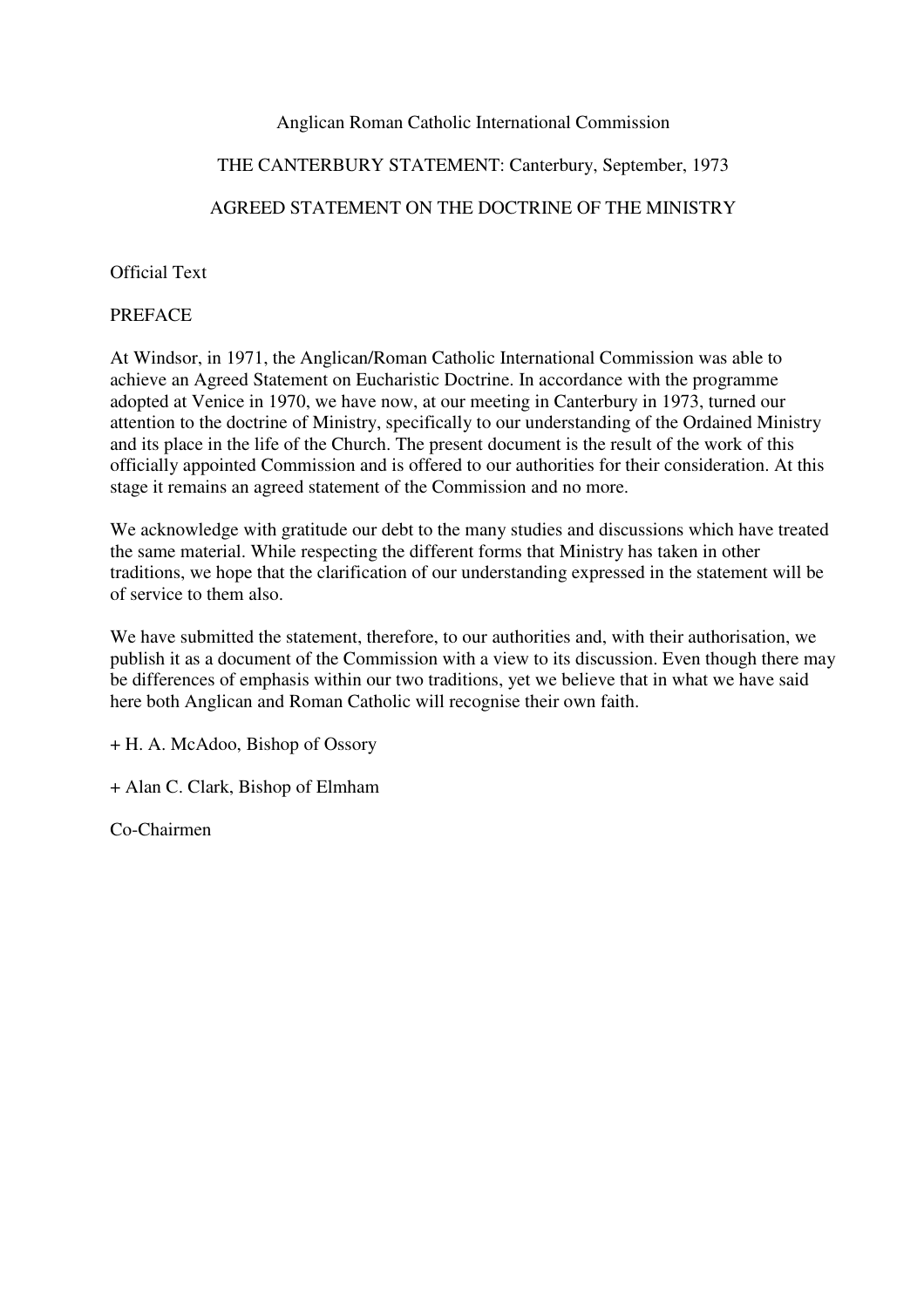### Anglican Roman Catholic International Commission

# THE CANTERBURY STATEMENT: Canterbury, September, 1973

# AGREED STATEMENT ON THE DOCTRINE OF THE MINISTRY

# Official Text

# PREFACE

At Windsor, in 1971, the Anglican/Roman Catholic International Commission was able to achieve an Agreed Statement on Eucharistic Doctrine. In accordance with the programme adopted at Venice in 1970, we have now, at our meeting in Canterbury in 1973, turned our attention to the doctrine of Ministry, specifically to our understanding of the Ordained Ministry and its place in the life of the Church. The present document is the result of the work of this officially appointed Commission and is offered to our authorities for their consideration. At this stage it remains an agreed statement of the Commission and no more.

We acknowledge with gratitude our debt to the many studies and discussions which have treated the same material. While respecting the different forms that Ministry has taken in other traditions, we hope that the clarification of our understanding expressed in the statement will be of service to them also.

We have submitted the statement, therefore, to our authorities and, with their authorisation, we publish it as a document of the Commission with a view to its discussion. Even though there may be differences of emphasis within our two traditions, yet we believe that in what we have said here both Anglican and Roman Catholic will recognise their own faith.

+ H. A. McAdoo, Bishop of Ossory

+ Alan C. Clark, Bishop of Elmham

Co-Chairmen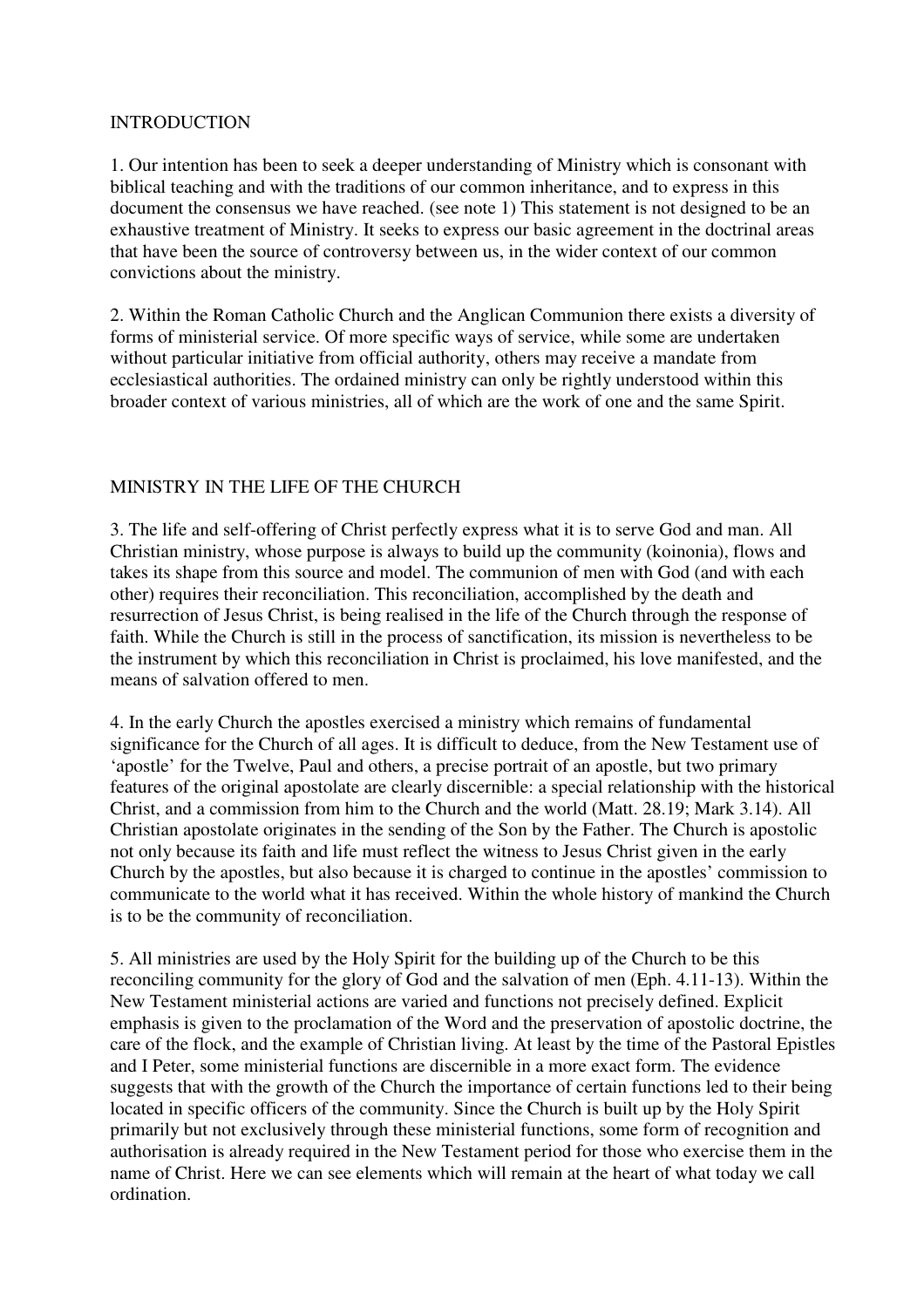#### INTRODUCTION

1. Our intention has been to seek a deeper understanding of Ministry which is consonant with biblical teaching and with the traditions of our common inheritance, and to express in this document the consensus we have reached. (see note 1) This statement is not designed to be an exhaustive treatment of Ministry. It seeks to express our basic agreement in the doctrinal areas that have been the source of controversy between us, in the wider context of our common convictions about the ministry.

2. Within the Roman Catholic Church and the Anglican Communion there exists a diversity of forms of ministerial service. Of more specific ways of service, while some are undertaken without particular initiative from official authority, others may receive a mandate from ecclesiastical authorities. The ordained ministry can only be rightly understood within this broader context of various ministries, all of which are the work of one and the same Spirit.

# MINISTRY IN THE LIFE OF THE CHURCH

3. The life and self-offering of Christ perfectly express what it is to serve God and man. All Christian ministry, whose purpose is always to build up the community (koinonia), flows and takes its shape from this source and model. The communion of men with God (and with each other) requires their reconciliation. This reconciliation, accomplished by the death and resurrection of Jesus Christ, is being realised in the life of the Church through the response of faith. While the Church is still in the process of sanctification, its mission is nevertheless to be the instrument by which this reconciliation in Christ is proclaimed, his love manifested, and the means of salvation offered to men.

4. In the early Church the apostles exercised a ministry which remains of fundamental significance for the Church of all ages. It is difficult to deduce, from the New Testament use of 'apostle' for the Twelve, Paul and others, a precise portrait of an apostle, but two primary features of the original apostolate are clearly discernible: a special relationship with the historical Christ, and a commission from him to the Church and the world (Matt. 28.19; Mark 3.14). All Christian apostolate originates in the sending of the Son by the Father. The Church is apostolic not only because its faith and life must reflect the witness to Jesus Christ given in the early Church by the apostles, but also because it is charged to continue in the apostles' commission to communicate to the world what it has received. Within the whole history of mankind the Church is to be the community of reconciliation.

5. All ministries are used by the Holy Spirit for the building up of the Church to be this reconciling community for the glory of God and the salvation of men (Eph. 4.11-13). Within the New Testament ministerial actions are varied and functions not precisely defined. Explicit emphasis is given to the proclamation of the Word and the preservation of apostolic doctrine, the care of the flock, and the example of Christian living. At least by the time of the Pastoral Epistles and I Peter, some ministerial functions are discernible in a more exact form. The evidence suggests that with the growth of the Church the importance of certain functions led to their being located in specific officers of the community. Since the Church is built up by the Holy Spirit primarily but not exclusively through these ministerial functions, some form of recognition and authorisation is already required in the New Testament period for those who exercise them in the name of Christ. Here we can see elements which will remain at the heart of what today we call ordination.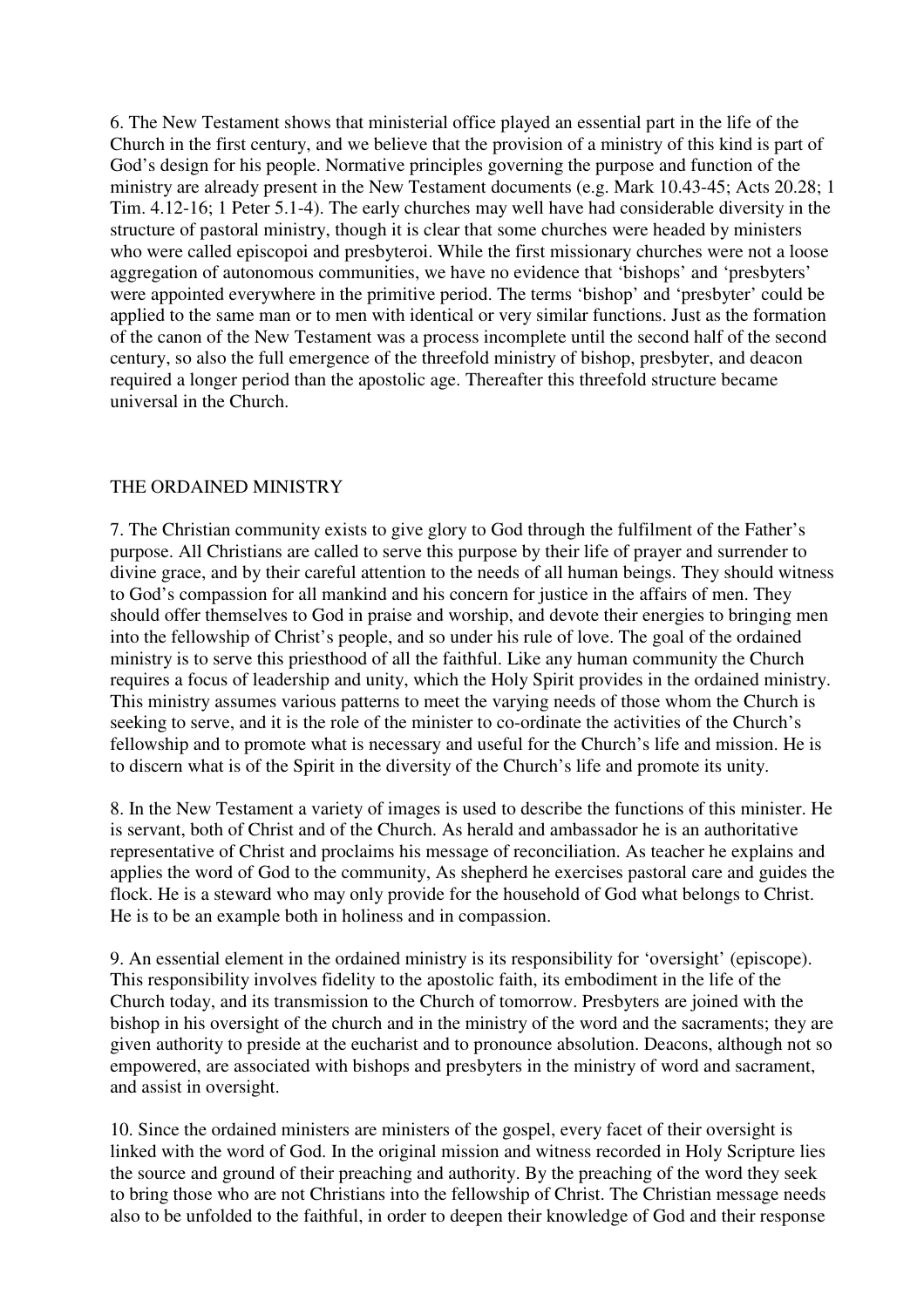6. The New Testament shows that ministerial office played an essential part in the life of the Church in the first century, and we believe that the provision of a ministry of this kind is part of God's design for his people. Normative principles governing the purpose and function of the ministry are already present in the New Testament documents (e.g. Mark 10.43-45; Acts 20.28; 1 Tim. 4.12-16; 1 Peter 5.1-4). The early churches may well have had considerable diversity in the structure of pastoral ministry, though it is clear that some churches were headed by ministers who were called episcopoi and presbyteroi. While the first missionary churches were not a loose aggregation of autonomous communities, we have no evidence that 'bishops' and 'presbyters' were appointed everywhere in the primitive period. The terms 'bishop' and 'presbyter' could be applied to the same man or to men with identical or very similar functions. Just as the formation of the canon of the New Testament was a process incomplete until the second half of the second century, so also the full emergence of the threefold ministry of bishop, presbyter, and deacon required a longer period than the apostolic age. Thereafter this threefold structure became universal in the Church.

# THE ORDAINED MINISTRY

7. The Christian community exists to give glory to God through the fulfilment of the Father's purpose. All Christians are called to serve this purpose by their life of prayer and surrender to divine grace, and by their careful attention to the needs of all human beings. They should witness to God's compassion for all mankind and his concern for justice in the affairs of men. They should offer themselves to God in praise and worship, and devote their energies to bringing men into the fellowship of Christ's people, and so under his rule of love. The goal of the ordained ministry is to serve this priesthood of all the faithful. Like any human community the Church requires a focus of leadership and unity, which the Holy Spirit provides in the ordained ministry. This ministry assumes various patterns to meet the varying needs of those whom the Church is seeking to serve, and it is the role of the minister to co-ordinate the activities of the Church's fellowship and to promote what is necessary and useful for the Church's life and mission. He is to discern what is of the Spirit in the diversity of the Church's life and promote its unity.

8. In the New Testament a variety of images is used to describe the functions of this minister. He is servant, both of Christ and of the Church. As herald and ambassador he is an authoritative representative of Christ and proclaims his message of reconciliation. As teacher he explains and applies the word of God to the community, As shepherd he exercises pastoral care and guides the flock. He is a steward who may only provide for the household of God what belongs to Christ. He is to be an example both in holiness and in compassion.

9. An essential element in the ordained ministry is its responsibility for 'oversight' (episcope). This responsibility involves fidelity to the apostolic faith, its embodiment in the life of the Church today, and its transmission to the Church of tomorrow. Presbyters are joined with the bishop in his oversight of the church and in the ministry of the word and the sacraments; they are given authority to preside at the eucharist and to pronounce absolution. Deacons, although not so empowered, are associated with bishops and presbyters in the ministry of word and sacrament, and assist in oversight.

10. Since the ordained ministers are ministers of the gospel, every facet of their oversight is linked with the word of God. In the original mission and witness recorded in Holy Scripture lies the source and ground of their preaching and authority. By the preaching of the word they seek to bring those who are not Christians into the fellowship of Christ. The Christian message needs also to be unfolded to the faithful, in order to deepen their knowledge of God and their response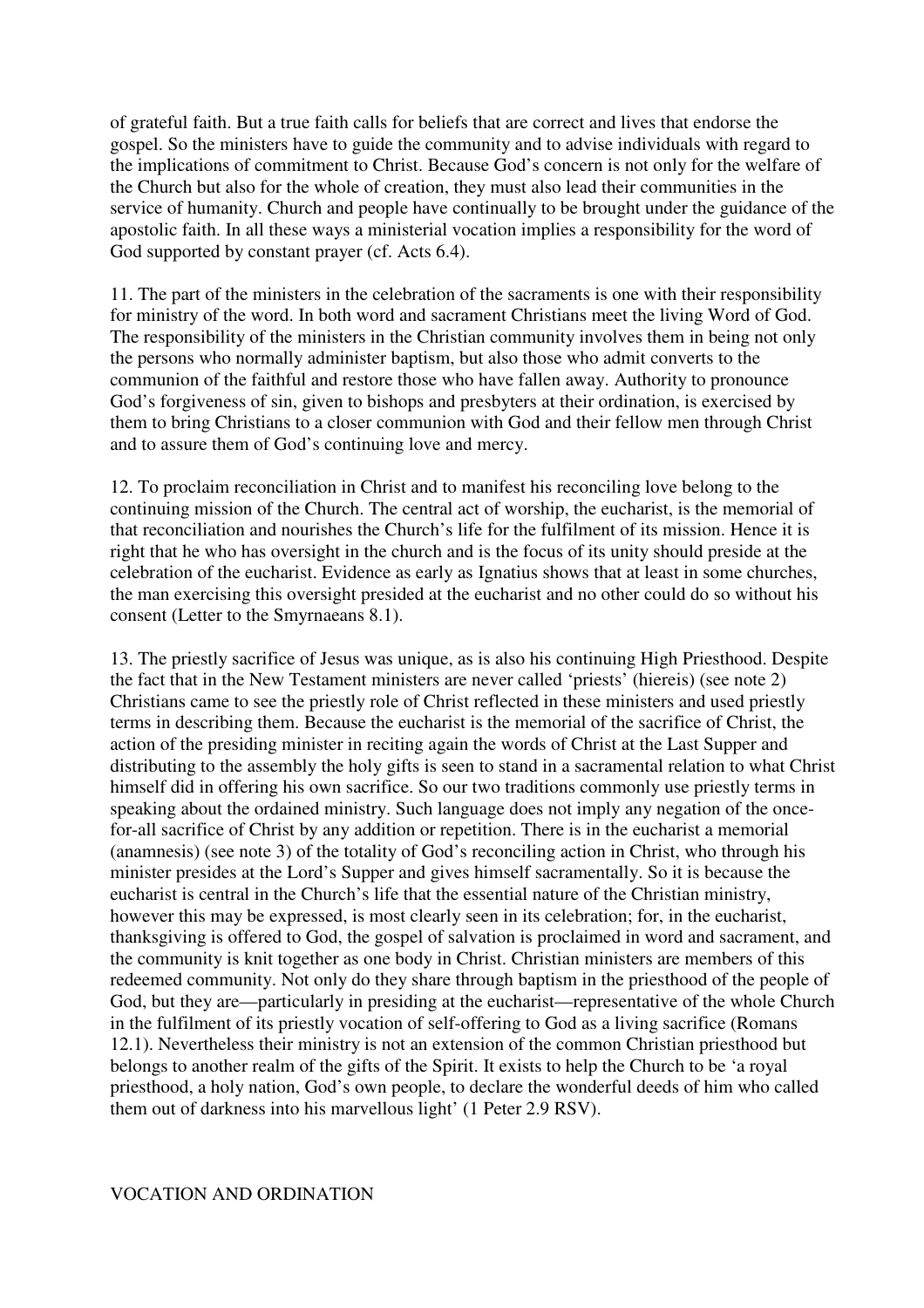of grateful faith. But a true faith calls for beliefs that are correct and lives that endorse the gospel. So the ministers have to guide the community and to advise individuals with regard to the implications of commitment to Christ. Because God's concern is not only for the welfare of the Church but also for the whole of creation, they must also lead their communities in the service of humanity. Church and people have continually to be brought under the guidance of the apostolic faith. In all these ways a ministerial vocation implies a responsibility for the word of God supported by constant prayer (cf. Acts 6.4).

11. The part of the ministers in the celebration of the sacraments is one with their responsibility for ministry of the word. In both word and sacrament Christians meet the living Word of God. The responsibility of the ministers in the Christian community involves them in being not only the persons who normally administer baptism, but also those who admit converts to the communion of the faithful and restore those who have fallen away. Authority to pronounce God's forgiveness of sin, given to bishops and presbyters at their ordination, is exercised by them to bring Christians to a closer communion with God and their fellow men through Christ and to assure them of God's continuing love and mercy.

12. To proclaim reconciliation in Christ and to manifest his reconciling love belong to the continuing mission of the Church. The central act of worship, the eucharist, is the memorial of that reconciliation and nourishes the Church's life for the fulfilment of its mission. Hence it is right that he who has oversight in the church and is the focus of its unity should preside at the celebration of the eucharist. Evidence as early as Ignatius shows that at least in some churches, the man exercising this oversight presided at the eucharist and no other could do so without his consent (Letter to the Smyrnaeans 8.1).

13. The priestly sacrifice of Jesus was unique, as is also his continuing High Priesthood. Despite the fact that in the New Testament ministers are never called 'priests' (hiereis) (see note 2) Christians came to see the priestly role of Christ reflected in these ministers and used priestly terms in describing them. Because the eucharist is the memorial of the sacrifice of Christ, the action of the presiding minister in reciting again the words of Christ at the Last Supper and distributing to the assembly the holy gifts is seen to stand in a sacramental relation to what Christ himself did in offering his own sacrifice. So our two traditions commonly use priestly terms in speaking about the ordained ministry. Such language does not imply any negation of the oncefor-all sacrifice of Christ by any addition or repetition. There is in the eucharist a memorial (anamnesis) (see note 3) of the totality of God's reconciling action in Christ, who through his minister presides at the Lord's Supper and gives himself sacramentally. So it is because the eucharist is central in the Church's life that the essential nature of the Christian ministry, however this may be expressed, is most clearly seen in its celebration; for, in the eucharist, thanksgiving is offered to God, the gospel of salvation is proclaimed in word and sacrament, and the community is knit together as one body in Christ. Christian ministers are members of this redeemed community. Not only do they share through baptism in the priesthood of the people of God, but they are—particularly in presiding at the eucharist—representative of the whole Church in the fulfilment of its priestly vocation of self-offering to God as a living sacrifice (Romans 12.1). Nevertheless their ministry is not an extension of the common Christian priesthood but belongs to another realm of the gifts of the Spirit. It exists to help the Church to be 'a royal priesthood, a holy nation, God's own people, to declare the wonderful deeds of him who called them out of darkness into his marvellous light' (1 Peter 2.9 RSV).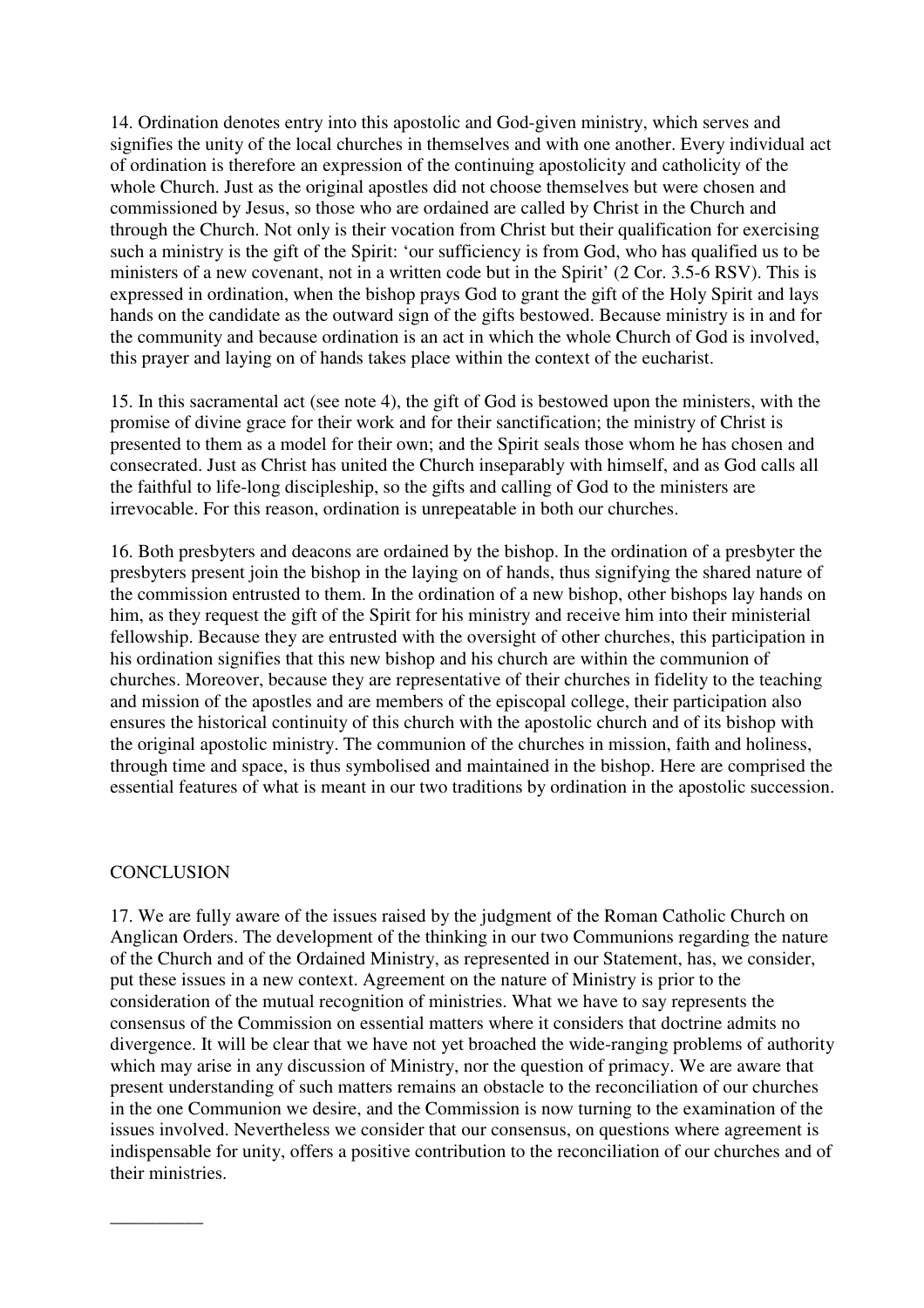14. Ordination denotes entry into this apostolic and God-given ministry, which serves and signifies the unity of the local churches in themselves and with one another. Every individual act of ordination is therefore an expression of the continuing apostolicity and catholicity of the whole Church. Just as the original apostles did not choose themselves but were chosen and commissioned by Jesus, so those who are ordained are called by Christ in the Church and through the Church. Not only is their vocation from Christ but their qualification for exercising such a ministry is the gift of the Spirit: 'our sufficiency is from God, who has qualified us to be ministers of a new covenant, not in a written code but in the Spirit' (2 Cor. 3.5-6 RSV). This is expressed in ordination, when the bishop prays God to grant the gift of the Holy Spirit and lays hands on the candidate as the outward sign of the gifts bestowed. Because ministry is in and for the community and because ordination is an act in which the whole Church of God is involved, this prayer and laying on of hands takes place within the context of the eucharist.

15. In this sacramental act (see note 4), the gift of God is bestowed upon the ministers, with the promise of divine grace for their work and for their sanctification; the ministry of Christ is presented to them as a model for their own; and the Spirit seals those whom he has chosen and consecrated. Just as Christ has united the Church inseparably with himself, and as God calls all the faithful to life-long discipleship, so the gifts and calling of God to the ministers are irrevocable. For this reason, ordination is unrepeatable in both our churches.

16. Both presbyters and deacons are ordained by the bishop. In the ordination of a presbyter the presbyters present join the bishop in the laying on of hands, thus signifying the shared nature of the commission entrusted to them. In the ordination of a new bishop, other bishops lay hands on him, as they request the gift of the Spirit for his ministry and receive him into their ministerial fellowship. Because they are entrusted with the oversight of other churches, this participation in his ordination signifies that this new bishop and his church are within the communion of churches. Moreover, because they are representative of their churches in fidelity to the teaching and mission of the apostles and are members of the episcopal college, their participation also ensures the historical continuity of this church with the apostolic church and of its bishop with the original apostolic ministry. The communion of the churches in mission, faith and holiness, through time and space, is thus symbolised and maintained in the bishop. Here are comprised the essential features of what is meant in our two traditions by ordination in the apostolic succession.

#### **CONCLUSION**

\_\_\_\_\_\_\_\_\_\_

17. We are fully aware of the issues raised by the judgment of the Roman Catholic Church on Anglican Orders. The development of the thinking in our two Communions regarding the nature of the Church and of the Ordained Ministry, as represented in our Statement, has, we consider, put these issues in a new context. Agreement on the nature of Ministry is prior to the consideration of the mutual recognition of ministries. What we have to say represents the consensus of the Commission on essential matters where it considers that doctrine admits no divergence. It will be clear that we have not yet broached the wide-ranging problems of authority which may arise in any discussion of Ministry, nor the question of primacy. We are aware that present understanding of such matters remains an obstacle to the reconciliation of our churches in the one Communion we desire, and the Commission is now turning to the examination of the issues involved. Nevertheless we consider that our consensus, on questions where agreement is indispensable for unity, offers a positive contribution to the reconciliation of our churches and of their ministries.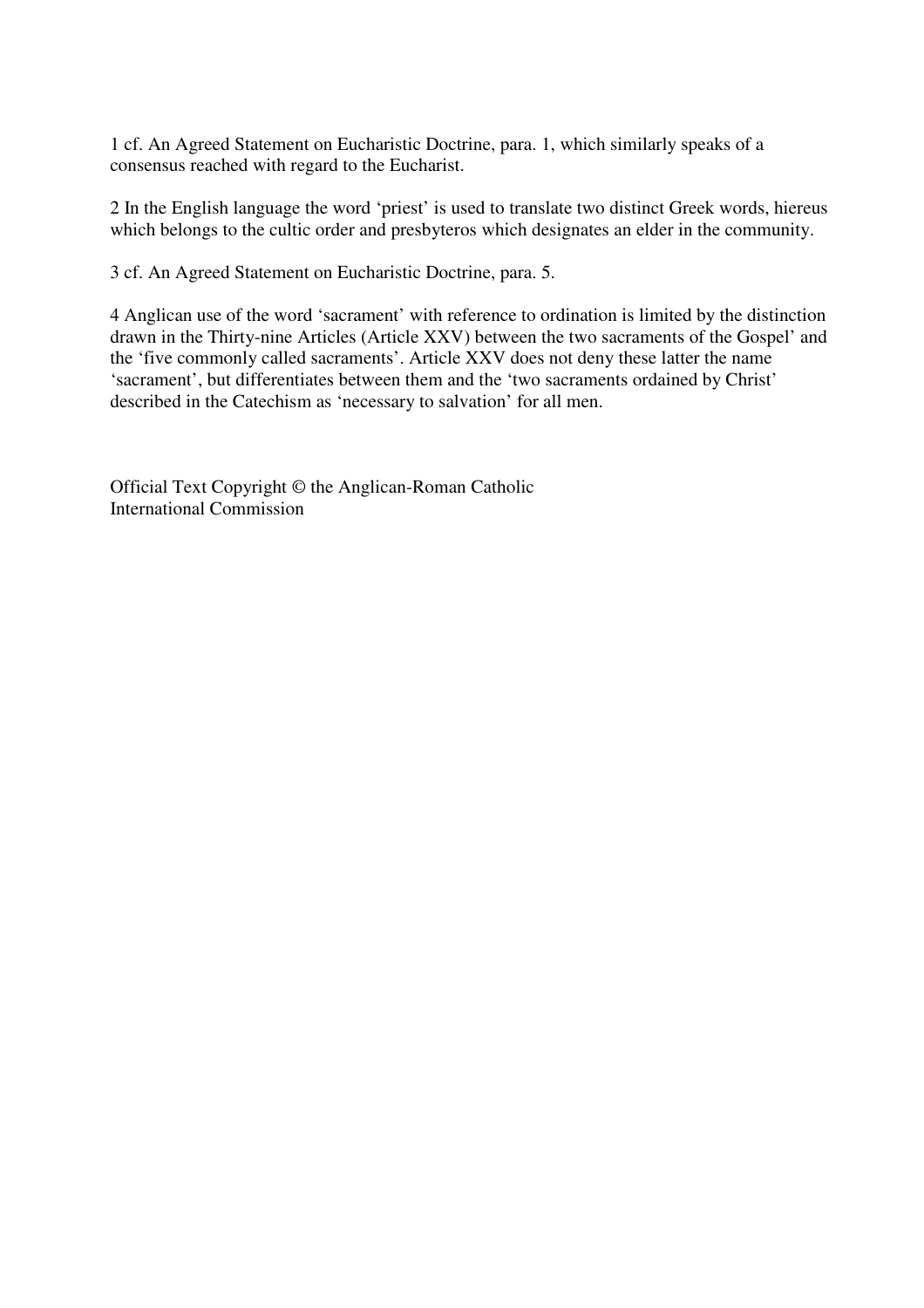1 cf. An Agreed Statement on Eucharistic Doctrine, para. 1, which similarly speaks of a consensus reached with regard to the Eucharist.

2 In the English language the word 'priest' is used to translate two distinct Greek words, hiereus which belongs to the cultic order and presbyteros which designates an elder in the community.

3 cf. An Agreed Statement on Eucharistic Doctrine, para. 5.

4 Anglican use of the word 'sacrament' with reference to ordination is limited by the distinction drawn in the Thirty-nine Articles (Article XXV) between the two sacraments of the Gospel' and the 'five commonly called sacraments'. Article XXV does not deny these latter the name 'sacrament', but differentiates between them and the 'two sacraments ordained by Christ' described in the Catechism as 'necessary to salvation' for all men.

Official Text Copyright © the Anglican-Roman Catholic International Commission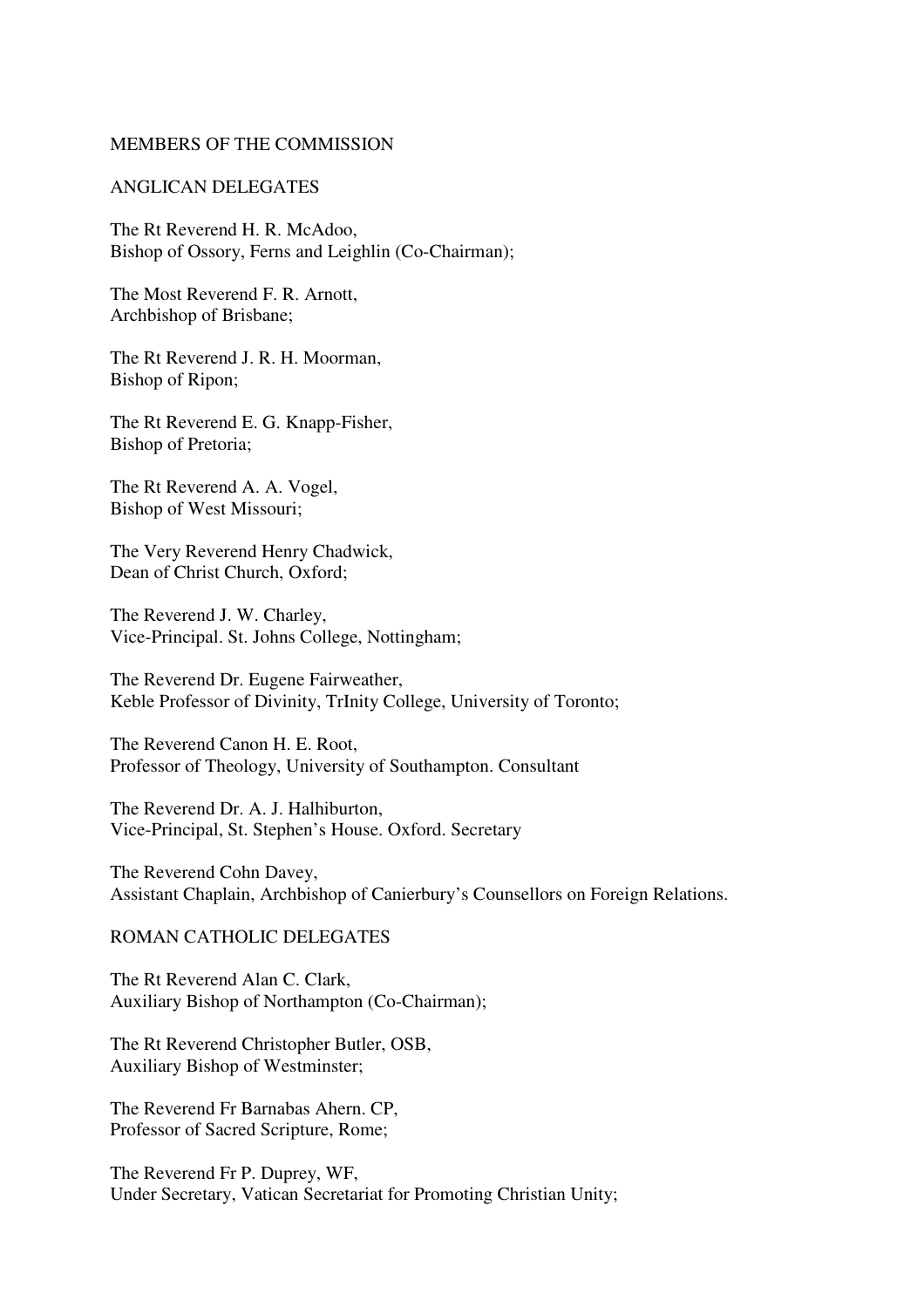#### MEMBERS OF THE COMMISSION

### ANGLICAN DELEGATES

The Rt Reverend H. R. McAdoo, Bishop of Ossory, Ferns and Leighlin (Co-Chairman);

The Most Reverend F. R. Arnott, Archbishop of Brisbane;

The Rt Reverend J. R. H. Moorman, Bishop of Ripon;

The Rt Reverend E. G. Knapp-Fisher, Bishop of Pretoria;

The Rt Reverend A. A. Vogel, Bishop of West Missouri;

The Very Reverend Henry Chadwick, Dean of Christ Church, Oxford;

The Reverend J. W. Charley, Vice-Principal. St. Johns College, Nottingham;

The Reverend Dr. Eugene Fairweather, Keble Professor of Divinity, TrInity College, University of Toronto;

The Reverend Canon H. E. Root, Professor of Theology, University of Southampton. Consultant

The Reverend Dr. A. J. Halhiburton, Vice-Principal, St. Stephen's House. Oxford. Secretary

The Reverend Cohn Davey, Assistant Chaplain, Archbishop of Canierbury's Counsellors on Foreign Relations.

### ROMAN CATHOLIC DELEGATES

The Rt Reverend Alan C. Clark, Auxiliary Bishop of Northampton (Co-Chairman);

The Rt Reverend Christopher Butler, OSB, Auxiliary Bishop of Westminster;

The Reverend Fr Barnabas Ahern. CP, Professor of Sacred Scripture, Rome;

The Reverend Fr P. Duprey, WF, Under Secretary, Vatican Secretariat for Promoting Christian Unity;